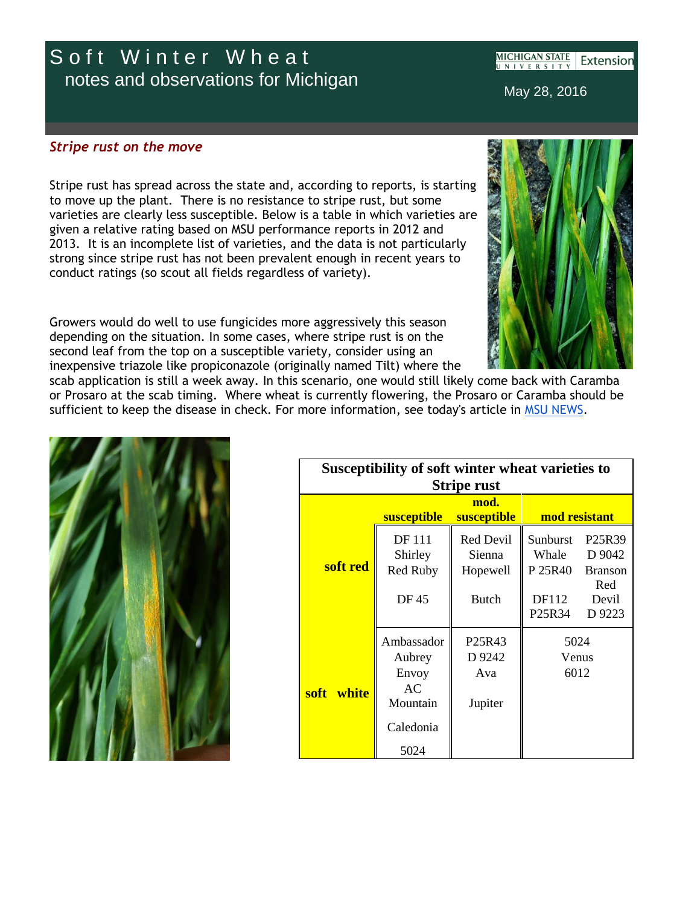## Soft Winter Wheat notes and observations for Michigan

**MICHIGAN STATE** Extensior **NIVERSIT** 

May 28, 2016

## *Stripe rust on the move*

Stripe rust has spread across the state and, according to reports, is starting to move up the plant. There is no resistance to stripe rust, but some varieties are clearly less susceptible. Below is a table in which varieties are given a relative rating based on MSU performance reports in 2012 and 2013. It is an incomplete list of varieties, and the data is not particularly strong since stripe rust has not been prevalent enough in recent years to conduct ratings (so scout all fields regardless of variety).

Growers would do well to use fungicides more aggressively this season depending on the situation. In some cases, where stripe rust is on the second leaf from the top on a susceptible variety, consider using an inexpensive triazole like propiconazole (originally named Tilt) where the

scab application is still a week away. In this scenario, one would still likely come back with Caramba or Prosaro at the scab timing. Where wheat is currently flowering, the Prosaro or Caramba should be sufficient to keep the disease in check. For more information, see today's article in [MSU NEWS.](http://r20.rs6.net/tn.jsp?f=001OvH7VE08cwRraatZPOIXe1Aq-GI5NIkTxikQ1zjxMghzY_qgkc33JV7yxUcNvKTXsTeIUk95X9CnKuBW_NjyvRL8UjVxvFC9QeOWV6RFUKgBSwTWTD9ix1ZPqPj11lJHmdURAFtTdiZD7YEiYKtVRfNsP12PyxrjA-EPqbf2ga5GwGzg2d10_aDHd4hMi63sAVdSecPxnqzNSRT3mW1DUlC_ywcSNAFlQ2V5sP3DvvqcnYOKYwyKVC2nqWTflfBf7YyjH_qk9_Y=&c=_bH-MnkZFyE_qVPEiXr_WB5BTiOlWHft9VkLRJf444S_FfEJRFc1GA==&ch=F2rYEweZrDi5AnvIvnT9iyW2pchreBgtlFSj2nSa7_BamPJWqeVN0Q==)



| Susceptibility of soft winter wheat varieties to |                    |                                 |                   |                                           |
|--------------------------------------------------|--------------------|---------------------------------|-------------------|-------------------------------------------|
| <b>Stripe rust</b>                               |                    |                                 |                   |                                           |
| mod.                                             |                    |                                 |                   |                                           |
|                                                  | <b>susceptible</b> | <b>susceptible</b>              | mod resistant     |                                           |
| soft red                                         | DF 111<br>Shirley  | Red Devil<br>Sienna             | Sunburst<br>Whale | P <sub>25</sub> R <sub>39</sub><br>D 9042 |
|                                                  | <b>Red Ruby</b>    | Hopewell                        | P 25R40           | <b>Branson</b>                            |
|                                                  | DF 45              | Butch                           | DF112<br>P25R34   | Red<br>Devil<br>D 9223                    |
| soft white                                       | Ambassador         | P <sub>25</sub> R <sub>43</sub> | 5024              |                                           |
|                                                  | Aubrey             | D 9242                          | Venus             |                                           |
|                                                  | Envoy              | Ava                             | 6012              |                                           |
|                                                  | AC<br>Mountain     | Jupiter                         |                   |                                           |
|                                                  | Caledonia          |                                 |                   |                                           |
|                                                  | 5024               |                                 |                   |                                           |